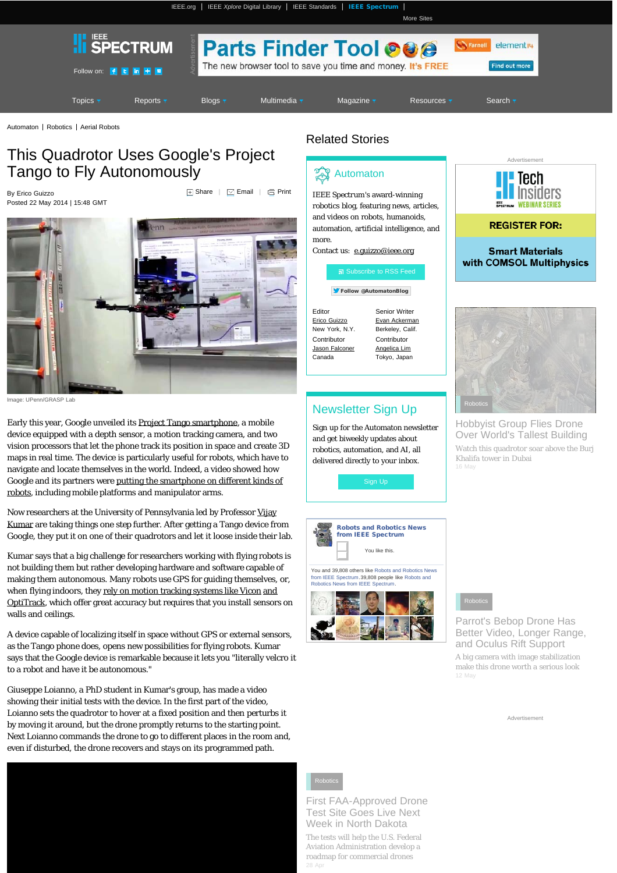[IEEE.org](http://www.ieee.org/) | [IEEE](http://ieeexplore.ieee.org/) *[Xplore](http://ieeexplore.ieee.org/)* [Digital Library](http://ieeexplore.ieee.org/) | [IEEE Standards](http://standards.ieee.org/) | [IEEE Spectrum](http://spectrum.ieee.org/) |

<span id="page-0-0"></span>

[Automaton](http://spectrum.ieee.org/blog/automaton) | [Robotics](http://spectrum.ieee.org/robotics) | [Aerial Robots](http://spectrum.ieee.org/robotics/aerial-robots)

# This Quadrotor Uses Google's Project Tango to Fly Autonomously

By Erico Guizzo Posted 22 May 2014 | 15:48 GMT  $\overline{a}$  [Share](#page-0-0)  $\overline{a}$  [Email](#page-0-0)  $\overline{a}$  [Print](#page-0-0)



Image: UPenn/GRASP Lab

Early this year, Google unveiled its [Project Tango smartphone,](https://www.google.com/atap/projecttango/) a mobile device equipped with a depth sensor, a motion tracking camera, and two vision processors that let the phone track its position in space and create 3D maps in real time. The device is particularly useful for robots, which have to navigate and locate themselves in the world. Indeed, a video showed how Google and its partners were [putting the smartphone on different kinds of](http://spectrum.ieee.org/automaton/robotics/robotics-hardware/video-friday-google-project-tango-visual-servoing-nasa-valkyrie) [robots,](http://spectrum.ieee.org/automaton/robotics/robotics-hardware/video-friday-google-project-tango-visual-servoing-nasa-valkyrie) including mobile platforms and manipulator arms.

Now researchers at the University of Pennsylvania led by Professor [Vijay](http://kumar.grasp.upenn.edu/) [Kumar](http://kumar.grasp.upenn.edu/) are taking things one step further. After getting a Tango device from Google, they put it on one of their quadrotors and let it loose inside their lab.

Kumar says that a big challenge for researchers working with flying robots is not building them but rather developing hardware and software capable of making them autonomous. Many robots use GPS for guiding themselves, or, when flying indoors, they [rely on motion tracking systems like Vicon](http://spectrum.ieee.org/tag/flying%20machine%20arena) [and](http://spectrum.ieee.org/tag/optitrack) [OptiTrack](http://spectrum.ieee.org/tag/optitrack), which offer great accuracy but requires that you install sensors on walls and ceilings.

A device capable of localizing itself in space without GPS or external sensors, as the Tango phone does, opens new possibilities for flying robots. Kumar says that the Google device is remarkable because it lets you "literally velcro it to a robot and have it be autonomous."

Giuseppe Loianno, a PhD student in Kumar's group, has made a video showing their initial tests with the device. In the first part of the video, Loianno sets the quadrotor to hover at a fixed position and then perturbs it by moving it around, but the drone promptly returns to the starting point. Next Loianno commands the drone to go to different places in the room and, even if disturbed, the drone recovers and stays on its programmed path.



## Related Stories



*IEEE Spectrum*'s award-winning robotics blog, featuring news, articles, and videos on robots, humanoids, automation, artificial intelligence, and more.

[More Sites](http://www.ieee.org/sitemap)

Contact us: [e.guizzo@ieee.org](mailto:e.guizzo@ieee.org)



[Follow @AutomatonBlog](https://twitter.com/intent/follow?original_referer=http%3A%2F%2Fspectrum.ieee.org%2Fautomaton%2Frobotics%2Faerial-robots%2Fautonomous-quadrotor-flight-based-on-google-project-tango®ion=follow_link&screen_name=AutomatonBlog&tw_p=followbutton&variant=2.0)

Editor

Canada

[Erico Guizzo](http://spectrum.ieee.org/searchContent?q=Erico%20Guizzo&media=&max=10&offset=0&sortby=newest) New York, N.Y. Senior Writer [Evan Ackerman](http://spectrum.ieee.org/searchContent?q=Evan%20Ackerman&media=&max=10&offset=0&sortby=newest) Berkeley, Calif. **Contributor** [Jason Falconer](http://spectrum.ieee.org/searchContent?q=Jason%20Falconer&media=&max=10&offset=0&sortby=newest) **Contributor** [Angelica Lim](http://spectrum.ieee.org/searchContent?q=Angelica%20Lim&media=&max=10&offset=0&sortby=newest) Tokyo, Japan

# Newsletter Sign Up

Sign up for the Automaton newsletter and get biweekly updates about robotics, automation, and AI, all delivered directly to your inbox.



[from IEEE Spectrum](http://www.facebook.com/IEEE.Spectrum.Robotics).39,808 people like [Robots and](http://www.facebook.com/IEEE.Spectrum.Robotics) [Robotics News from IEEE Spectrum.](http://www.facebook.com/IEEE.Spectrum.Robotics)







[Hobbyist Group Flies Drone](http://spectrum.ieee.org/automaton/robotics/aerial-robots/drone-flies-over-world-tallest-building) [Over World's Tallest Building](http://spectrum.ieee.org/automaton/robotics/aerial-robots/drone-flies-over-world-tallest-building) [Watch this quadrotor soar above the Burj](http://spectrum.ieee.org/automaton/robotics/aerial-robots/drone-flies-over-world-tallest-building) [Khalifa tower in Dubai](http://spectrum.ieee.org/automaton/robotics/aerial-robots/drone-flies-over-world-tallest-building)



[Parrot's Bebop Drone Has](http://spectrum.ieee.org/automaton/robotics/aerial-robots/parrot-bebop-drone) [Better Video, Longer Range,](http://spectrum.ieee.org/automaton/robotics/aerial-robots/parrot-bebop-drone) [and Oculus Rift Support](http://spectrum.ieee.org/automaton/robotics/aerial-robots/parrot-bebop-drone) [A big camera with image stabilization](http://spectrum.ieee.org/automaton/robotics/aerial-robots/parrot-bebop-drone)

[make this drone worth a serious look](http://spectrum.ieee.org/automaton/robotics/aerial-robots/parrot-bebop-drone)

Advertisement



[First FAA-Approved Drone](http://spectrum.ieee.org/automaton/robotics/aerial-robots/north-dakota-first-faa-approved-drone-test-site) [Test Site Goes Live Next](http://spectrum.ieee.org/automaton/robotics/aerial-robots/north-dakota-first-faa-approved-drone-test-site) [Week in North Dakota](http://spectrum.ieee.org/automaton/robotics/aerial-robots/north-dakota-first-faa-approved-drone-test-site)

[The tests will help the U.S. Federal](http://spectrum.ieee.org/automaton/robotics/aerial-robots/north-dakota-first-faa-approved-drone-test-site) [Aviation Administration develop a](http://spectrum.ieee.org/automaton/robotics/aerial-robots/north-dakota-first-faa-approved-drone-test-site) [roadmap for commercial drones](http://spectrum.ieee.org/automaton/robotics/aerial-robots/north-dakota-first-faa-approved-drone-test-site)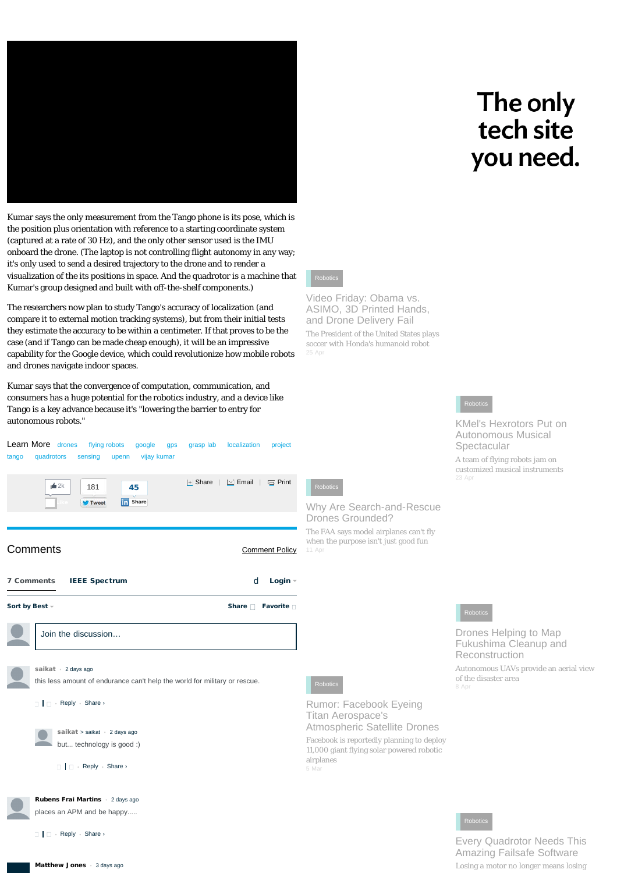

# The only tech site you need.

Kumar says the only measurement from the Tango phone is its pose, which is the position plus orientation with reference to a starting coordinate system (captured at a rate of 30 Hz), and the only other sensor used is the IMU onboard the drone. (The laptop is not controlling flight autonomy in any way; it's only used to send a desired trajectory to the drone and to render a visualization of the its positions in space. And the quadrotor is a machine that Kumar's group designed and built with off-the-shelf components.)

The researchers now plan to study Tango's accuracy of localization (and compare it to external motion tracking systems), but from their initial tests they estimate the accuracy to be within a centimeter. If that proves to be the case (and if Tango can be made cheap enough), it will be an impressive capability for the Google device, which could revolutionize how mobile robots and drones navigate indoor spaces.

Kumar says that the convergence of computation, communication, and consumers has a huge potential for the robotics industry, and a device like Tango is a key advance because it's "lowering the barrier to entry for autonomous robots."



[Video Friday: Obama vs.](http://spectrum.ieee.org/automaton/robotics/aerial-robots/video-friday-obama-vs-asimo-3d-printed-hands-and-drone-delivery-fail) ASIMO, 3D Printed Hands. [and Drone Delivery Fail](http://spectrum.ieee.org/automaton/robotics/aerial-robots/video-friday-obama-vs-asimo-3d-printed-hands-and-drone-delivery-fail) [The President of the United States plays](http://spectrum.ieee.org/automaton/robotics/aerial-robots/video-friday-obama-vs-asimo-3d-printed-hands-and-drone-delivery-fail) [soccer with Honda's humanoid robot](http://spectrum.ieee.org/automaton/robotics/aerial-robots/video-friday-obama-vs-asimo-3d-printed-hands-and-drone-delivery-fail)

### [Robotics](http://spectrum.ieee.org/automaton/robotics/aerial-robots/kmels-hexrotors-put-on-autonomous-musical-spectacular)

[KMel's Hexrotors Put on](http://spectrum.ieee.org/automaton/robotics/aerial-robots/kmels-hexrotors-put-on-autonomous-musical-spectacular) [Autonomous Musical](http://spectrum.ieee.org/automaton/robotics/aerial-robots/kmels-hexrotors-put-on-autonomous-musical-spectacular) [Spectacular](http://spectrum.ieee.org/automaton/robotics/aerial-robots/kmels-hexrotors-put-on-autonomous-musical-spectacular)

[A team of flying robots jam on](http://spectrum.ieee.org/automaton/robotics/aerial-robots/kmels-hexrotors-put-on-autonomous-musical-spectacular) [customized musical instruments](http://spectrum.ieee.org/automaton/robotics/aerial-robots/kmels-hexrotors-put-on-autonomous-musical-spectacular)

[Robotics](http://spectrum.ieee.org/automaton/robotics/aerial-robots/drones-map-fukushima-cleanup-and-reconstruction)

[Drones Helping to Map](http://spectrum.ieee.org/automaton/robotics/aerial-robots/drones-map-fukushima-cleanup-and-reconstruction) [Fukushima Cleanup and](http://spectrum.ieee.org/automaton/robotics/aerial-robots/drones-map-fukushima-cleanup-and-reconstruction) [Reconstruction](http://spectrum.ieee.org/automaton/robotics/aerial-robots/drones-map-fukushima-cleanup-and-reconstruction)

[Autonomous UAVs provide an aerial view](http://spectrum.ieee.org/automaton/robotics/aerial-robots/drones-map-fukushima-cleanup-and-reconstruction) [of the disaster area](http://spectrum.ieee.org/automaton/robotics/aerial-robots/drones-map-fukushima-cleanup-and-reconstruction)

[Robotics](http://spectrum.ieee.org/automaton/robotics/aerial-robots/every-quadrotor-needs-this-amazing-failsafe-software)

[Every Quadrotor Needs This](http://spectrum.ieee.org/automaton/robotics/aerial-robots/every-quadrotor-needs-this-amazing-failsafe-software) [Amazing Failsafe Software](http://spectrum.ieee.org/automaton/robotics/aerial-robots/every-quadrotor-needs-this-amazing-failsafe-software)

[Losing a motor no longer means losing](http://spectrum.ieee.org/automaton/robotics/aerial-robots/every-quadrotor-needs-this-amazing-failsafe-software)

[Matthew Jones](#page-0-0) • [3 days ago](#page-0-0)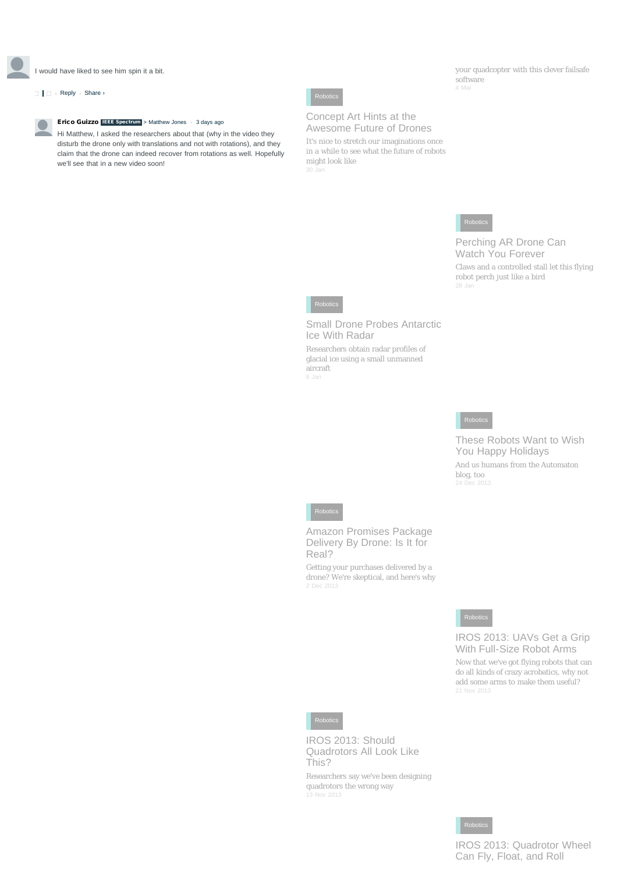I would have liked to see him spin it a bit.

### $\Box$   $\Box$  • [Reply](#page-0-0) • Share ›



Hi Matthew, I asked the researchers about that (why in the video they disturb the drone only with translations and not with rotations), and they claim that the drone can indeed recover from rotations as well. Hopefully we'll see that in a new video soon!



### [Concept Art Hints at the](http://spectrum.ieee.org/automaton/robotics/aerial-robots/concept-art-hints-at-the-awesome-future-of-drones) [Awesome Future of Drones](http://spectrum.ieee.org/automaton/robotics/aerial-robots/concept-art-hints-at-the-awesome-future-of-drones)

[It's nice to stretch our imaginations once](http://spectrum.ieee.org/automaton/robotics/aerial-robots/concept-art-hints-at-the-awesome-future-of-drones) [in a while to see what the future of robots](http://spectrum.ieee.org/automaton/robotics/aerial-robots/concept-art-hints-at-the-awesome-future-of-drones) [might look like](http://spectrum.ieee.org/automaton/robotics/aerial-robots/concept-art-hints-at-the-awesome-future-of-drones)

[your quadcopter with this clever failsafe](http://spectrum.ieee.org/automaton/robotics/aerial-robots/every-quadrotor-needs-this-amazing-failsafe-software) [software](http://spectrum.ieee.org/automaton/robotics/aerial-robots/every-quadrotor-needs-this-amazing-failsafe-software)



[Perching AR Drone Can](http://spectrum.ieee.org/automaton/robotics/aerial-robots/perching-ar-drone-can-watch-you-forever) [Watch You Forever](http://spectrum.ieee.org/automaton/robotics/aerial-robots/perching-ar-drone-can-watch-you-forever)

[Claws and a controlled stall let this flying](http://spectrum.ieee.org/automaton/robotics/aerial-robots/perching-ar-drone-can-watch-you-forever) [robot perch just like a bird](http://spectrum.ieee.org/automaton/robotics/aerial-robots/perching-ar-drone-can-watch-you-forever)



[Small Drone Probes Antarctic](http://spectrum.ieee.org/tech-talk/robotics/aerial-robots/small-drone-probes-antarctic-ice-with-radar) [Ice With Radar](http://spectrum.ieee.org/tech-talk/robotics/aerial-robots/small-drone-probes-antarctic-ice-with-radar) [Researchers obtain radar profiles of](http://spectrum.ieee.org/tech-talk/robotics/aerial-robots/small-drone-probes-antarctic-ice-with-radar) [glacial ice using a small unmanned](http://spectrum.ieee.org/tech-talk/robotics/aerial-robots/small-drone-probes-antarctic-ice-with-radar) [aircraft](http://spectrum.ieee.org/tech-talk/robotics/aerial-robots/small-drone-probes-antarctic-ice-with-radar)

### [Robotics](http://spectrum.ieee.org/automaton/robotics/aerial-robots/robots-wish-you-happy-holidays)

[These Robots Want to Wish](http://spectrum.ieee.org/automaton/robotics/aerial-robots/robots-wish-you-happy-holidays) [You Happy Holidays](http://spectrum.ieee.org/automaton/robotics/aerial-robots/robots-wish-you-happy-holidays)

[And us humans from the Automaton](http://spectrum.ieee.org/automaton/robotics/aerial-robots/robots-wish-you-happy-holidays) [blog, too](http://spectrum.ieee.org/automaton/robotics/aerial-robots/robots-wish-you-happy-holidays) 24 Dec [2013](http://spectrum.ieee.org/automaton/robotics/aerial-robots/robots-wish-you-happy-holidays)



[Amazon Promises Package](http://spectrum.ieee.org/automaton/robotics/aerial-robots/amazon-prime-air-package-drone-delivery) [Delivery By Drone: Is It for](http://spectrum.ieee.org/automaton/robotics/aerial-robots/amazon-prime-air-package-drone-delivery) [Real?](http://spectrum.ieee.org/automaton/robotics/aerial-robots/amazon-prime-air-package-drone-delivery)

[Getting your purchases delivered by a](http://spectrum.ieee.org/automaton/robotics/aerial-robots/amazon-prime-air-package-drone-delivery) [drone? We're skeptical, and here's why](http://spectrum.ieee.org/automaton/robotics/aerial-robots/amazon-prime-air-package-drone-delivery)



[IROS 2013: UAVs Get a Grip](http://spectrum.ieee.org/automaton/robotics/aerial-robots/iros-2013-uavs-get-a-grip-with-fullsize-robot-arms) [With Full-Size Robot Arms](http://spectrum.ieee.org/automaton/robotics/aerial-robots/iros-2013-uavs-get-a-grip-with-fullsize-robot-arms)

[Now that we've got flying robots that can](http://spectrum.ieee.org/automaton/robotics/aerial-robots/iros-2013-uavs-get-a-grip-with-fullsize-robot-arms) [do all kinds of crazy acrobatics, why not](http://spectrum.ieee.org/automaton/robotics/aerial-robots/iros-2013-uavs-get-a-grip-with-fullsize-robot-arms) [add some arms to make them useful?](http://spectrum.ieee.org/automaton/robotics/aerial-robots/iros-2013-uavs-get-a-grip-with-fullsize-robot-arms) 21 Nov [2013](http://spectrum.ieee.org/automaton/robotics/aerial-robots/iros-2013-uavs-get-a-grip-with-fullsize-robot-arms)



[IROS 2013: Should](http://spectrum.ieee.org/automaton/robotics/aerial-robots/iros-2013-should-quadrotors-all-look-like-this) [Quadrotors All Look Like](http://spectrum.ieee.org/automaton/robotics/aerial-robots/iros-2013-should-quadrotors-all-look-like-this) [This?](http://spectrum.ieee.org/automaton/robotics/aerial-robots/iros-2013-should-quadrotors-all-look-like-this)

[Researchers say we've been designing](http://spectrum.ieee.org/automaton/robotics/aerial-robots/iros-2013-should-quadrotors-all-look-like-this) [quadrotors the wrong way](http://spectrum.ieee.org/automaton/robotics/aerial-robots/iros-2013-should-quadrotors-all-look-like-this) 13 Nov [2013](http://spectrum.ieee.org/automaton/robotics/aerial-robots/iros-2013-should-quadrotors-all-look-like-this)



### [IROS 2013: Quadrotor Wheel](http://spectrum.ieee.org/automaton/robotics/aerial-robots/iros-2013-quadrotor-wheel-can-fly-float-and-roll) [Can Fly, Float, and Roll](http://spectrum.ieee.org/automaton/robotics/aerial-robots/iros-2013-quadrotor-wheel-can-fly-float-and-roll)